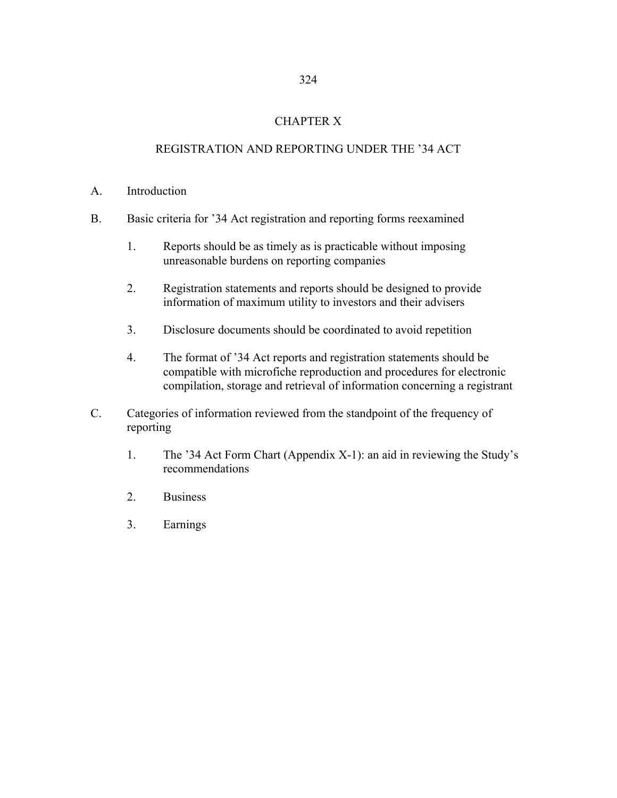## CHAPTER X

# REGISTRATION AND REPORTING UNDER THE '34 ACT

### A. Introduction

- B. Basic criteria for '34 Act registration and reporting forms reexamined
	- 1. Reports should be as timely as is practicable without imposing unreasonable burdens on reporting companies
	- 2. Registration statements and reports should be designed to provide information of maximum utility to investors and their advisers
	- 3. Disclosure documents should be coordinated to avoid repetition
	- 4. The format of '34 Act reports and registration statements should be compatible with microfiche reproduction and procedures for electronic compilation, storage and retrieval of information concerning a registrant
- C. Categories of information reviewed from the standpoint of the frequency of reporting
	- 1. The '34 Act Form Chart (Appendix X-1): an aid in reviewing the Study's recommendations
	- 2. Business
	- 3. Earnings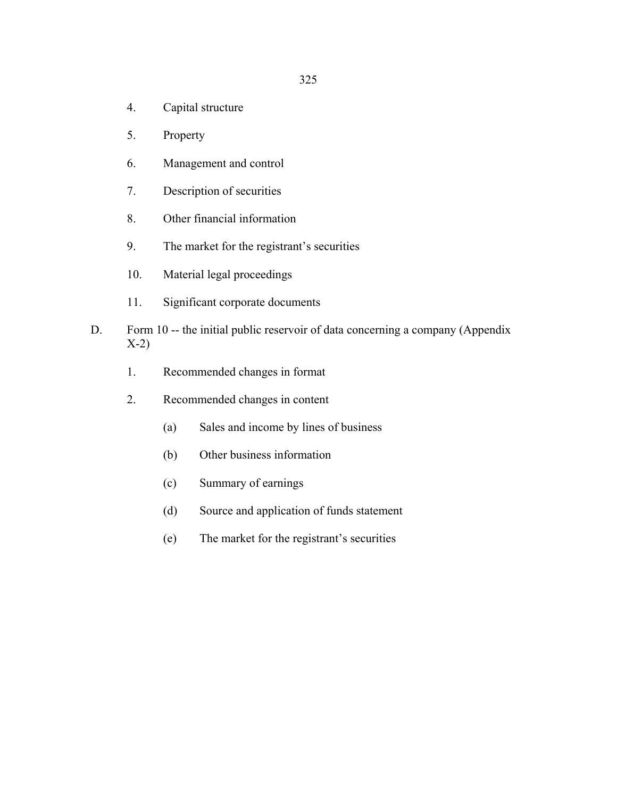- 4. Capital structure
- 5. Property
- 6. Management and control
- 7. Description of securities
- 8. Other financial information
- 9. The market for the registrant's securities
- 10. Material legal proceedings
- 11. Significant corporate documents
- D. Form 10 -- the initial public reservoir of data concerning a company (Appendix X-2)
	- 1. Recommended changes in format
	- 2. Recommended changes in content
		- (a) Sales and income by lines of business
		- (b) Other business information
		- (c) Summary of earnings
		- (d) Source and application of funds statement
		- (e) The market for the registrant's securities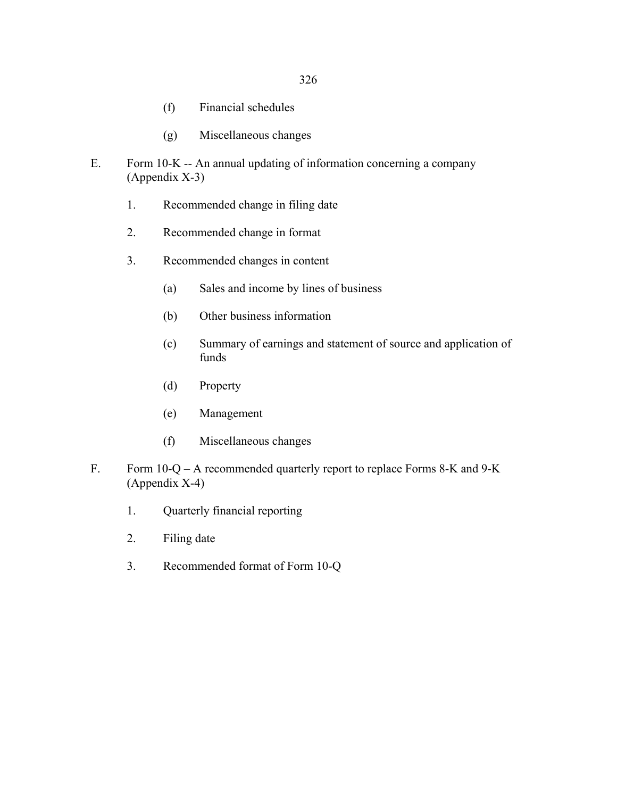- (f) Financial schedules
- (g) Miscellaneous changes
- E. Form 10-K -- An annual updating of information concerning a company (Appendix X-3)
	- 1. Recommended change in filing date
	- 2. Recommended change in format
	- 3. Recommended changes in content
		- (a) Sales and income by lines of business
		- (b) Other business information
		- (c) Summary of earnings and statement of source and application of funds
		- (d) Property
		- (e) Management
		- (f) Miscellaneous changes
- F. Form 10-Q A recommended quarterly report to replace Forms 8-K and 9-K (Appendix X-4)
	- 1. Quarterly financial reporting
	- 2. Filing date
	- 3. Recommended format of Form 10-Q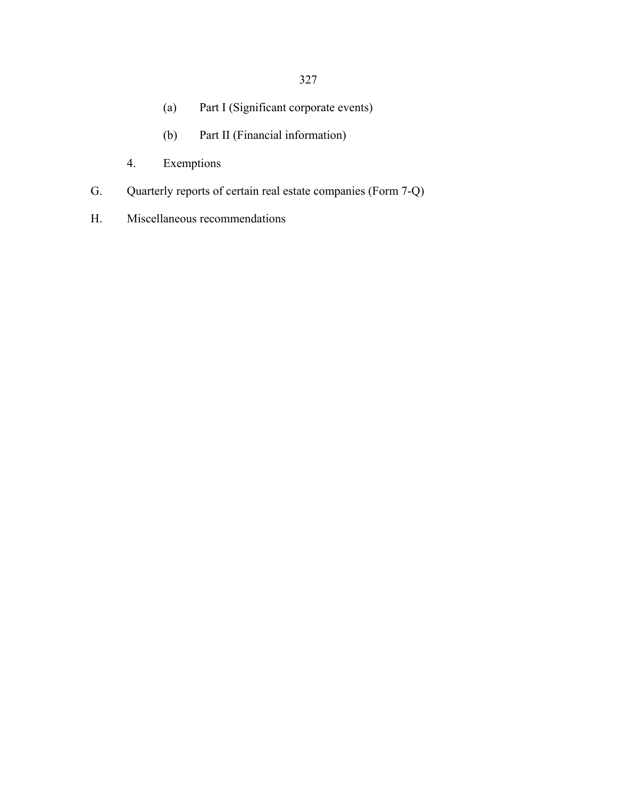327

- (a) Part I (Significant corporate events)
- (b) Part II (Financial information)
- 4. Exemptions
- G. Quarterly reports of certain real estate companies (Form 7-Q)
- H. Miscellaneous recommendations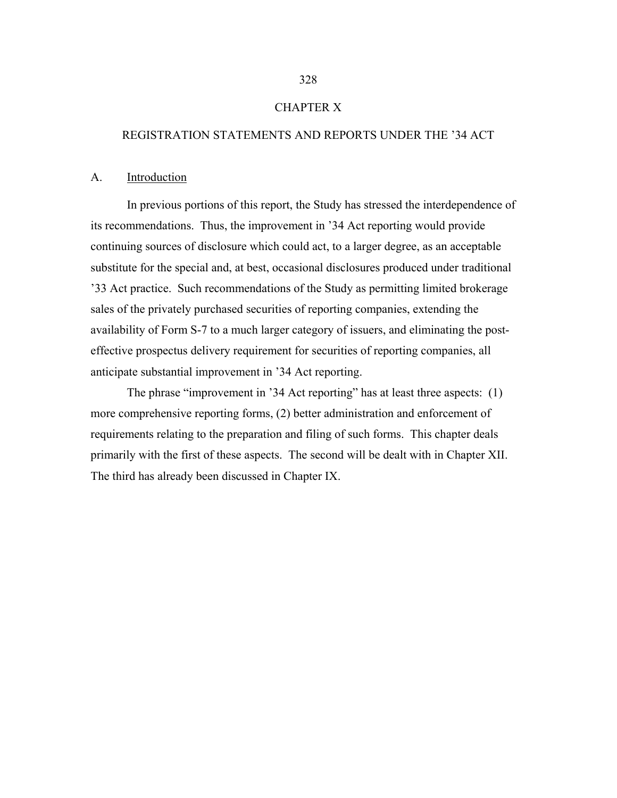## CHAPTER X

## REGISTRATION STATEMENTS AND REPORTS UNDER THE '34 ACT

#### A. Introduction

In previous portions of this report, the Study has stressed the interdependence of its recommendations. Thus, the improvement in '34 Act reporting would provide continuing sources of disclosure which could act, to a larger degree, as an acceptable substitute for the special and, at best, occasional disclosures produced under traditional '33 Act practice. Such recommendations of the Study as permitting limited brokerage sales of the privately purchased securities of reporting companies, extending the availability of Form S-7 to a much larger category of issuers, and eliminating the posteffective prospectus delivery requirement for securities of reporting companies, all anticipate substantial improvement in '34 Act reporting.

 The phrase "improvement in '34 Act reporting" has at least three aspects: (1) more comprehensive reporting forms, (2) better administration and enforcement of requirements relating to the preparation and filing of such forms. This chapter deals primarily with the first of these aspects. The second will be dealt with in Chapter XII. The third has already been discussed in Chapter IX.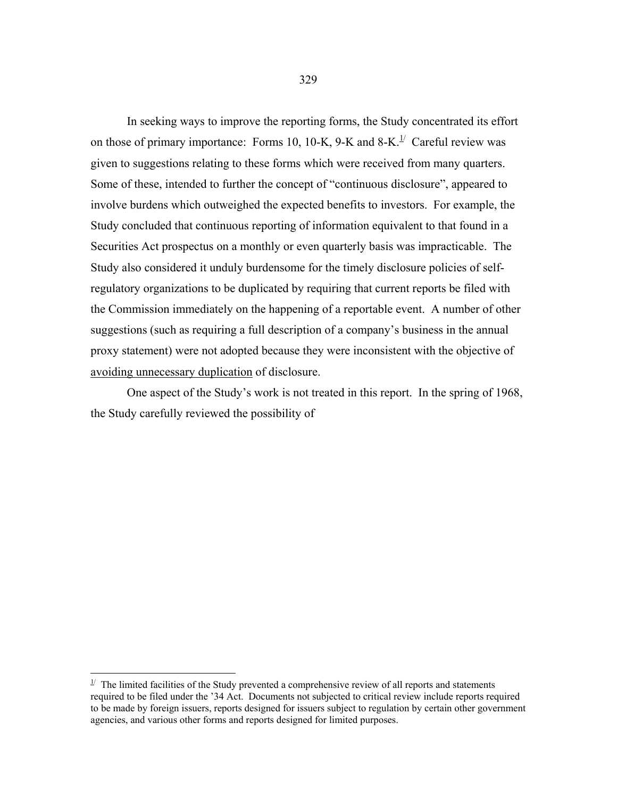In seeking ways to improve the reporting forms, the Study concentrated its effort on those of primary importance: Forms 10, 10-K, 9-K and 8-K.<sup>[1/](#page-5-0)</sup> Careful review was given to suggestions relating to these forms which were received from many quarters. Some of these, intended to further the concept of "continuous disclosure", appeared to involve burdens which outweighed the expected benefits to investors. For example, the Study concluded that continuous reporting of information equivalent to that found in a Securities Act prospectus on a monthly or even quarterly basis was impracticable. The Study also considered it unduly burdensome for the timely disclosure policies of selfregulatory organizations to be duplicated by requiring that current reports be filed with the Commission immediately on the happening of a reportable event. A number of other suggestions (such as requiring a full description of a company's business in the annual proxy statement) were not adopted because they were inconsistent with the objective of avoiding unnecessary duplication of disclosure.

 One aspect of the Study's work is not treated in this report. In the spring of 1968, the Study carefully reviewed the possibility of

 $\overline{a}$ 

<span id="page-5-0"></span> $1/2$  The limited facilities of the Study prevented a comprehensive review of all reports and statements required to be filed under the '34 Act. Documents not subjected to critical review include reports required to be made by foreign issuers, reports designed for issuers subject to regulation by certain other government agencies, and various other forms and reports designed for limited purposes.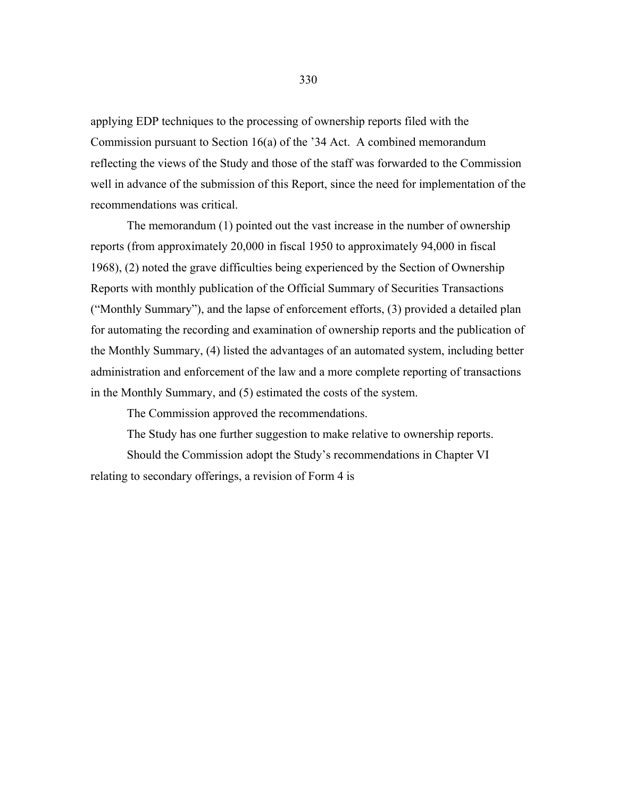applying EDP techniques to the processing of ownership reports filed with the Commission pursuant to Section 16(a) of the '34 Act. A combined memorandum reflecting the views of the Study and those of the staff was forwarded to the Commission well in advance of the submission of this Report, since the need for implementation of the recommendations was critical.

 The memorandum (1) pointed out the vast increase in the number of ownership reports (from approximately 20,000 in fiscal 1950 to approximately 94,000 in fiscal 1968), (2) noted the grave difficulties being experienced by the Section of Ownership Reports with monthly publication of the Official Summary of Securities Transactions ("Monthly Summary"), and the lapse of enforcement efforts, (3) provided a detailed plan for automating the recording and examination of ownership reports and the publication of the Monthly Summary, (4) listed the advantages of an automated system, including better administration and enforcement of the law and a more complete reporting of transactions in the Monthly Summary, and (5) estimated the costs of the system.

The Commission approved the recommendations.

The Study has one further suggestion to make relative to ownership reports.

 Should the Commission adopt the Study's recommendations in Chapter VI relating to secondary offerings, a revision of Form 4 is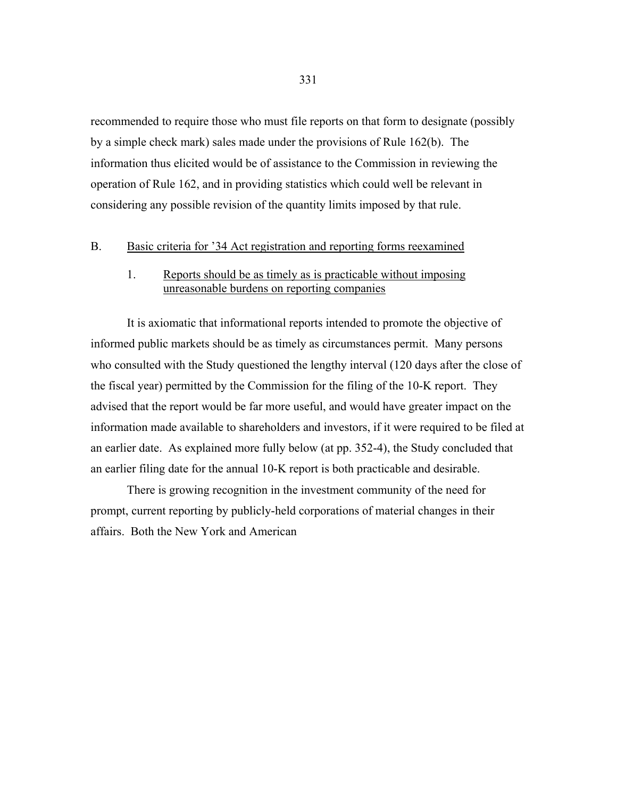recommended to require those who must file reports on that form to designate (possibly by a simple check mark) sales made under the provisions of Rule 162(b). The information thus elicited would be of assistance to the Commission in reviewing the operation of Rule 162, and in providing statistics which could well be relevant in considering any possible revision of the quantity limits imposed by that rule.

#### B. Basic criteria for '34 Act registration and reporting forms reexamined

## 1. Reports should be as timely as is practicable without imposing unreasonable burdens on reporting companies

 It is axiomatic that informational reports intended to promote the objective of informed public markets should be as timely as circumstances permit. Many persons who consulted with the Study questioned the lengthy interval (120 days after the close of the fiscal year) permitted by the Commission for the filing of the 10-K report. They advised that the report would be far more useful, and would have greater impact on the information made available to shareholders and investors, if it were required to be filed at an earlier date. As explained more fully below (at pp. 352-4), the Study concluded that an earlier filing date for the annual 10-K report is both practicable and desirable.

 There is growing recognition in the investment community of the need for prompt, current reporting by publicly-held corporations of material changes in their affairs. Both the New York and American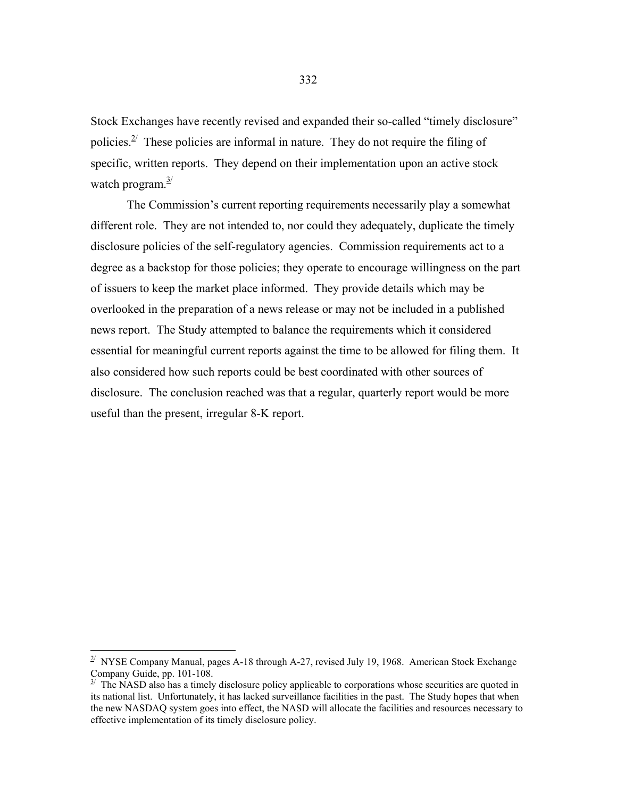Stock Exchanges have recently revised and expanded their so-called "timely disclosure" policies. $2^{\prime}$  These policies are informal in nature. They do not require the filing of specific, written reports. They depend on their implementation upon an active stock watch program. $\frac{3}{2}$ 

 The Commission's current reporting requirements necessarily play a somewhat different role. They are not intended to, nor could they adequately, duplicate the timely disclosure policies of the self-regulatory agencies. Commission requirements act to a degree as a backstop for those policies; they operate to encourage willingness on the part of issuers to keep the market place informed. They provide details which may be overlooked in the preparation of a news release or may not be included in a published news report. The Study attempted to balance the requirements which it considered essential for meaningful current reports against the time to be allowed for filing them. It also considered how such reports could be best coordinated with other sources of disclosure. The conclusion reached was that a regular, quarterly report would be more useful than the present, irregular 8-K report.

 $\overline{a}$ 

<span id="page-8-0"></span> $^{2}$  NYSE Company Manual, pages A-18 through A-27, revised July 19, 1968. American Stock Exchange Company Guide, pp. 101-108.

<span id="page-8-1"></span> $3<sup>j</sup>$  The NASD also has a timely disclosure policy applicable to corporations whose securities are quoted in its national list. Unfortunately, it has lacked surveillance facilities in the past. The Study hopes that when the new NASDAQ system goes into effect, the NASD will allocate the facilities and resources necessary to effective implementation of its timely disclosure policy.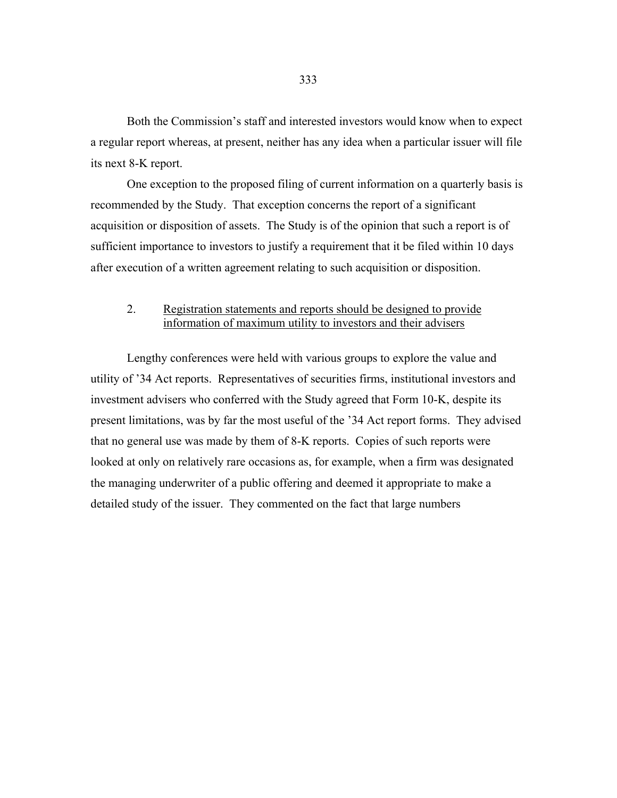Both the Commission's staff and interested investors would know when to expect a regular report whereas, at present, neither has any idea when a particular issuer will file its next 8-K report.

 One exception to the proposed filing of current information on a quarterly basis is recommended by the Study. That exception concerns the report of a significant acquisition or disposition of assets. The Study is of the opinion that such a report is of sufficient importance to investors to justify a requirement that it be filed within 10 days after execution of a written agreement relating to such acquisition or disposition.

## 2. Registration statements and reports should be designed to provide information of maximum utility to investors and their advisers

 Lengthy conferences were held with various groups to explore the value and utility of '34 Act reports. Representatives of securities firms, institutional investors and investment advisers who conferred with the Study agreed that Form 10-K, despite its present limitations, was by far the most useful of the '34 Act report forms. They advised that no general use was made by them of 8-K reports. Copies of such reports were looked at only on relatively rare occasions as, for example, when a firm was designated the managing underwriter of a public offering and deemed it appropriate to make a detailed study of the issuer. They commented on the fact that large numbers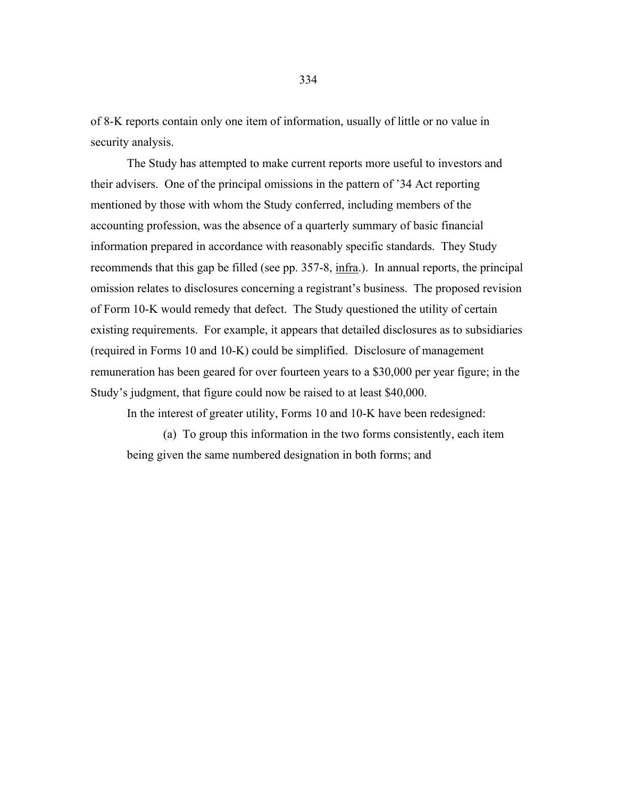of 8-K reports contain only one item of information, usually of little or no value in security analysis.

 The Study has attempted to make current reports more useful to investors and their advisers. One of the principal omissions in the pattern of '34 Act reporting mentioned by those with whom the Study conferred, including members of the accounting profession, was the absence of a quarterly summary of basic financial information prepared in accordance with reasonably specific standards. They Study recommends that this gap be filled (see pp. 357-8, infra.). In annual reports, the principal omission relates to disclosures concerning a registrant's business. The proposed revision of Form 10-K would remedy that defect. The Study questioned the utility of certain existing requirements. For example, it appears that detailed disclosures as to subsidiaries (required in Forms 10 and 10-K) could be simplified. Disclosure of management remuneration has been geared for over fourteen years to a \$30,000 per year figure; in the Study's judgment, that figure could now be raised to at least \$40,000.

In the interest of greater utility, Forms 10 and 10-K have been redesigned:

 (a) To group this information in the two forms consistently, each item being given the same numbered designation in both forms; and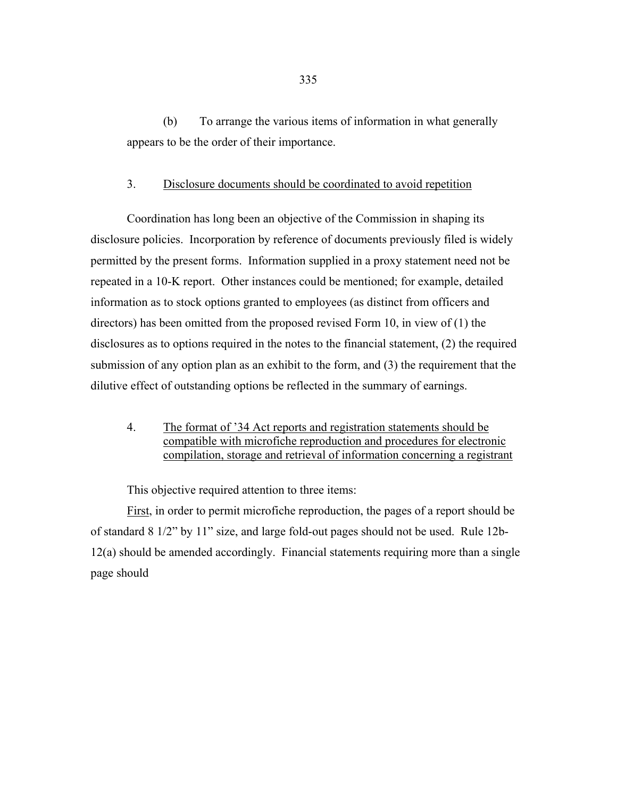(b) To arrange the various items of information in what generally appears to be the order of their importance.

#### 3. Disclosure documents should be coordinated to avoid repetition

 Coordination has long been an objective of the Commission in shaping its disclosure policies. Incorporation by reference of documents previously filed is widely permitted by the present forms. Information supplied in a proxy statement need not be repeated in a 10-K report. Other instances could be mentioned; for example, detailed information as to stock options granted to employees (as distinct from officers and directors) has been omitted from the proposed revised Form 10, in view of (1) the disclosures as to options required in the notes to the financial statement, (2) the required submission of any option plan as an exhibit to the form, and (3) the requirement that the dilutive effect of outstanding options be reflected in the summary of earnings.

4. The format of '34 Act reports and registration statements should be compatible with microfiche reproduction and procedures for electronic compilation, storage and retrieval of information concerning a registrant

This objective required attention to three items:

First, in order to permit microfiche reproduction, the pages of a report should be of standard 8 1/2" by 11" size, and large fold-out pages should not be used. Rule 12b-12(a) should be amended accordingly. Financial statements requiring more than a single page should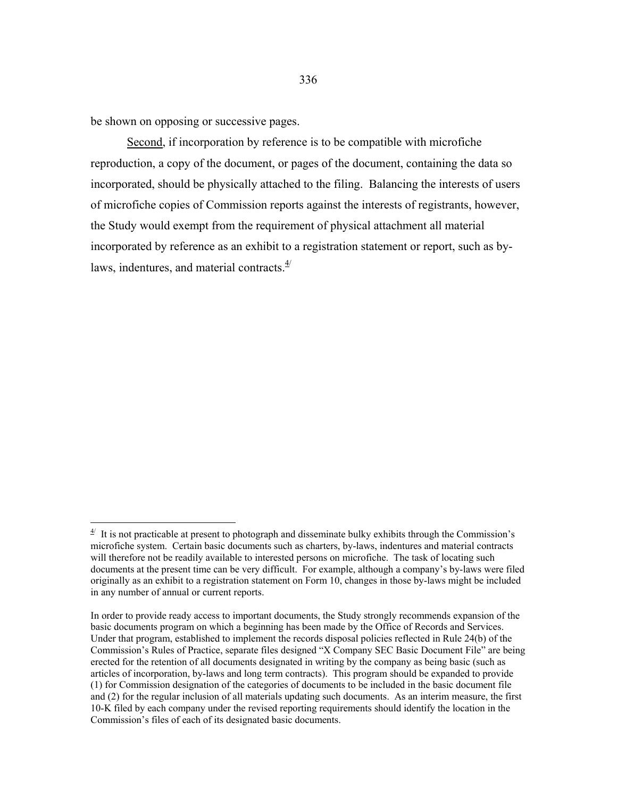be shown on opposing or successive pages.

1

Second, if incorporation by reference is to be compatible with microfiche reproduction, a copy of the document, or pages of the document, containing the data so incorporated, should be physically attached to the filing. Balancing the interests of users of microfiche copies of Commission reports against the interests of registrants, however, the Study would exempt from the requirement of physical attachment all material incorporated by reference as an exhibit to a registration statement or report, such as bylaws, indentures, and material contracts. $4/$ 

<span id="page-12-0"></span> $4<sup>4</sup>$  It is not practicable at present to photograph and disseminate bulky exhibits through the Commission's microfiche system. Certain basic documents such as charters, by-laws, indentures and material contracts will therefore not be readily available to interested persons on microfiche. The task of locating such documents at the present time can be very difficult. For example, although a company's by-laws were filed originally as an exhibit to a registration statement on Form 10, changes in those by-laws might be included in any number of annual or current reports.

In order to provide ready access to important documents, the Study strongly recommends expansion of the basic documents program on which a beginning has been made by the Office of Records and Services. Under that program, established to implement the records disposal policies reflected in Rule 24(b) of the Commission's Rules of Practice, separate files designed "X Company SEC Basic Document File" are being erected for the retention of all documents designated in writing by the company as being basic (such as articles of incorporation, by-laws and long term contracts). This program should be expanded to provide (1) for Commission designation of the categories of documents to be included in the basic document file and (2) for the regular inclusion of all materials updating such documents. As an interim measure, the first 10-K filed by each company under the revised reporting requirements should identify the location in the Commission's files of each of its designated basic documents.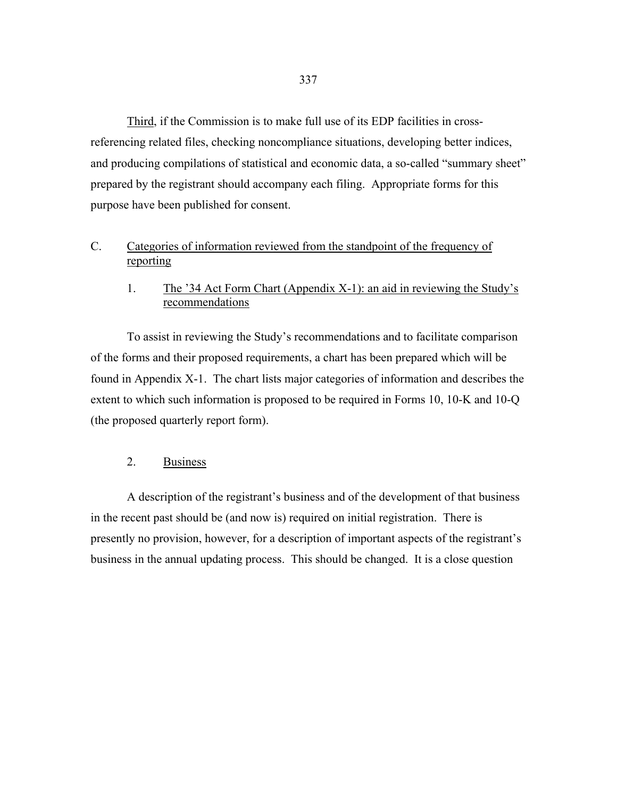Third, if the Commission is to make full use of its EDP facilities in crossreferencing related files, checking noncompliance situations, developing better indices, and producing compilations of statistical and economic data, a so-called "summary sheet" prepared by the registrant should accompany each filing. Appropriate forms for this purpose have been published for consent.

# C. Categories of information reviewed from the standpoint of the frequency of reporting

## 1. The '34 Act Form Chart (Appendix X-1): an aid in reviewing the Study's recommendations

 To assist in reviewing the Study's recommendations and to facilitate comparison of the forms and their proposed requirements, a chart has been prepared which will be found in Appendix X-1. The chart lists major categories of information and describes the extent to which such information is proposed to be required in Forms 10, 10-K and 10-Q (the proposed quarterly report form).

## 2. Business

 A description of the registrant's business and of the development of that business in the recent past should be (and now is) required on initial registration. There is presently no provision, however, for a description of important aspects of the registrant's business in the annual updating process. This should be changed. It is a close question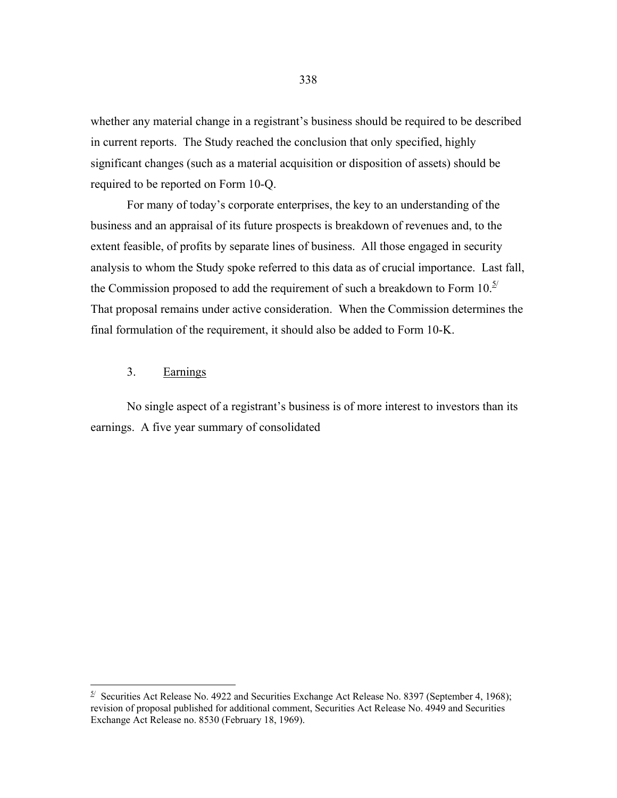whether any material change in a registrant's business should be required to be described in current reports. The Study reached the conclusion that only specified, highly significant changes (such as a material acquisition or disposition of assets) should be required to be reported on Form 10-Q.

 For many of today's corporate enterprises, the key to an understanding of the business and an appraisal of its future prospects is breakdown of revenues and, to the extent feasible, of profits by separate lines of business. All those engaged in security analysis to whom the Study spoke referred to this data as of crucial importance. Last fall, the Commission proposed to add the requirement of such a breakdown to Form  $10.<sup>5/</sup>$ That proposal remains under active consideration. When the Commission determines the final formulation of the requirement, it should also be added to Form 10-K.

3. Earnings

 $\overline{a}$ 

 No single aspect of a registrant's business is of more interest to investors than its earnings. A five year summary of consolidated

<span id="page-14-0"></span> $5^{\circ}$  Securities Act Release No. 4922 and Securities Exchange Act Release No. 8397 (September 4, 1968); revision of proposal published for additional comment, Securities Act Release No. 4949 and Securities Exchange Act Release no. 8530 (February 18, 1969).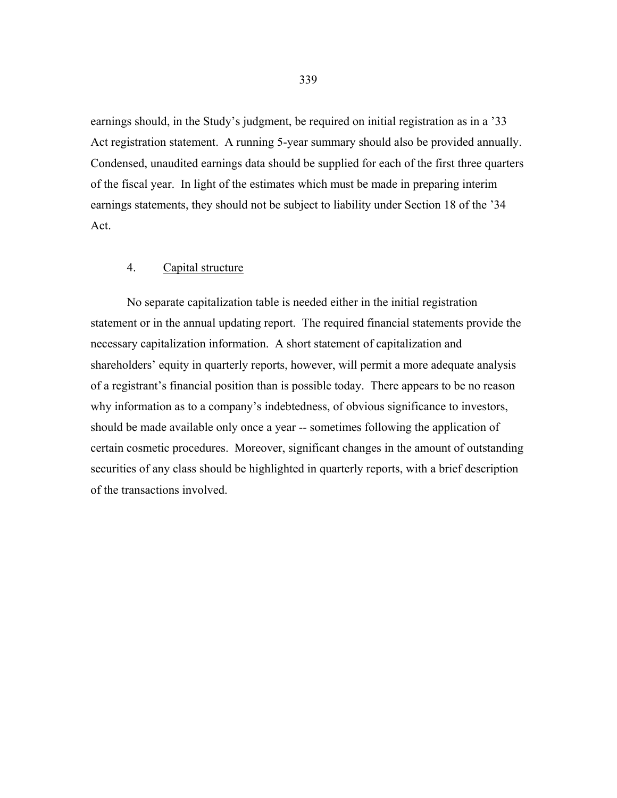earnings should, in the Study's judgment, be required on initial registration as in a '33 Act registration statement. A running 5-year summary should also be provided annually. Condensed, unaudited earnings data should be supplied for each of the first three quarters of the fiscal year. In light of the estimates which must be made in preparing interim earnings statements, they should not be subject to liability under Section 18 of the '34 Act.

## 4. Capital structure

 No separate capitalization table is needed either in the initial registration statement or in the annual updating report. The required financial statements provide the necessary capitalization information. A short statement of capitalization and shareholders' equity in quarterly reports, however, will permit a more adequate analysis of a registrant's financial position than is possible today. There appears to be no reason why information as to a company's indebtedness, of obvious significance to investors, should be made available only once a year -- sometimes following the application of certain cosmetic procedures. Moreover, significant changes in the amount of outstanding securities of any class should be highlighted in quarterly reports, with a brief description of the transactions involved.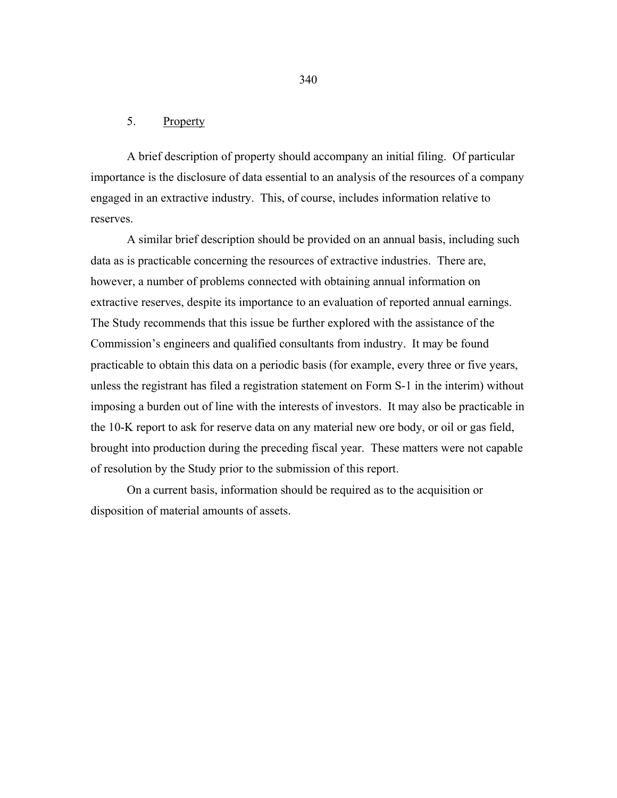### 5. Property

 A brief description of property should accompany an initial filing. Of particular importance is the disclosure of data essential to an analysis of the resources of a company engaged in an extractive industry. This, of course, includes information relative to reserves.

 A similar brief description should be provided on an annual basis, including such data as is practicable concerning the resources of extractive industries. There are, however, a number of problems connected with obtaining annual information on extractive reserves, despite its importance to an evaluation of reported annual earnings. The Study recommends that this issue be further explored with the assistance of the Commission's engineers and qualified consultants from industry. It may be found practicable to obtain this data on a periodic basis (for example, every three or five years, unless the registrant has filed a registration statement on Form S-1 in the interim) without imposing a burden out of line with the interests of investors. It may also be practicable in the 10-K report to ask for reserve data on any material new ore body, or oil or gas field, brought into production during the preceding fiscal year. These matters were not capable of resolution by the Study prior to the submission of this report.

 On a current basis, information should be required as to the acquisition or disposition of material amounts of assets.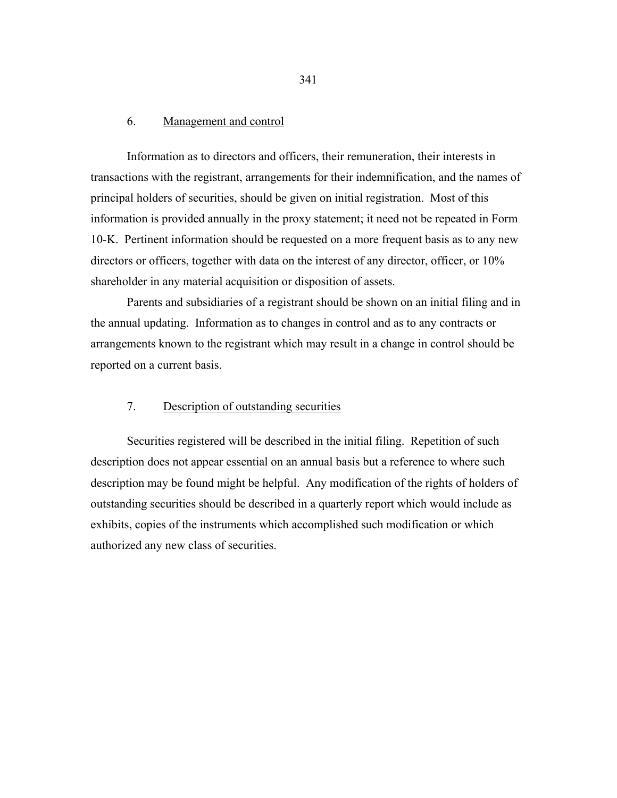#### 6. Management and control

 Information as to directors and officers, their remuneration, their interests in transactions with the registrant, arrangements for their indemnification, and the names of principal holders of securities, should be given on initial registration. Most of this information is provided annually in the proxy statement; it need not be repeated in Form 10-K. Pertinent information should be requested on a more frequent basis as to any new directors or officers, together with data on the interest of any director, officer, or 10% shareholder in any material acquisition or disposition of assets.

 Parents and subsidiaries of a registrant should be shown on an initial filing and in the annual updating. Information as to changes in control and as to any contracts or arrangements known to the registrant which may result in a change in control should be reported on a current basis.

## 7. Description of outstanding securities

 Securities registered will be described in the initial filing. Repetition of such description does not appear essential on an annual basis but a reference to where such description may be found might be helpful. Any modification of the rights of holders of outstanding securities should be described in a quarterly report which would include as exhibits, copies of the instruments which accomplished such modification or which authorized any new class of securities.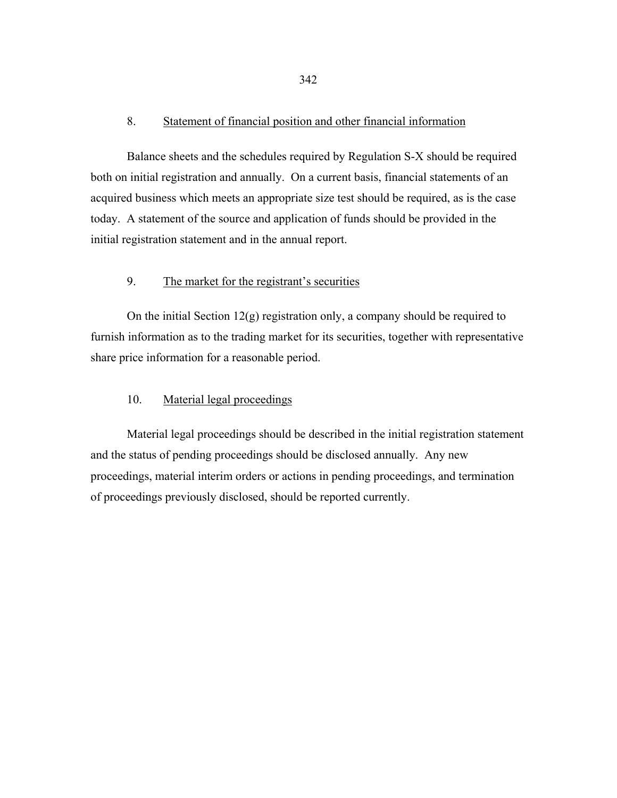#### 8. Statement of financial position and other financial information

 Balance sheets and the schedules required by Regulation S-X should be required both on initial registration and annually. On a current basis, financial statements of an acquired business which meets an appropriate size test should be required, as is the case today. A statement of the source and application of funds should be provided in the initial registration statement and in the annual report.

### 9. The market for the registrant's securities

On the initial Section  $12(g)$  registration only, a company should be required to furnish information as to the trading market for its securities, together with representative share price information for a reasonable period.

## 10. Material legal proceedings

 Material legal proceedings should be described in the initial registration statement and the status of pending proceedings should be disclosed annually. Any new proceedings, material interim orders or actions in pending proceedings, and termination of proceedings previously disclosed, should be reported currently.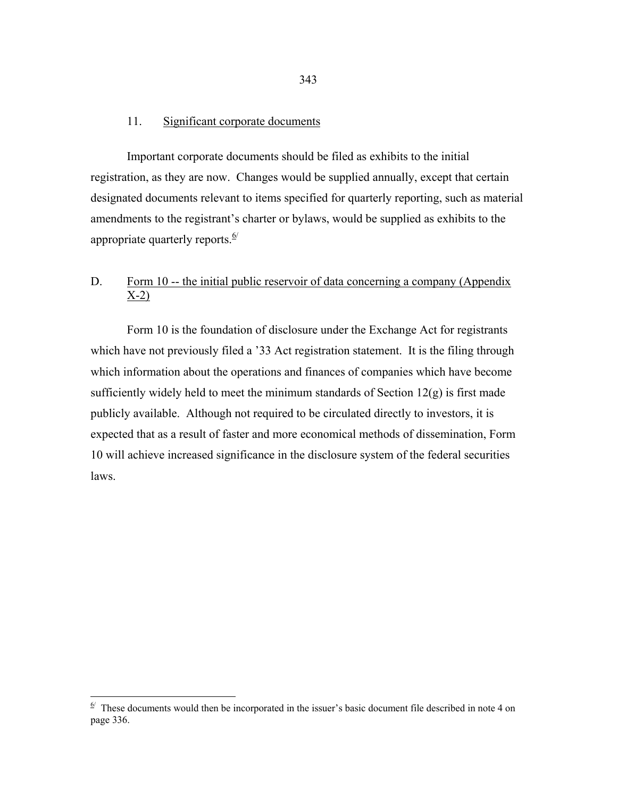## 11. Significant corporate documents

 Important corporate documents should be filed as exhibits to the initial registration, as they are now. Changes would be supplied annually, except that certain designated documents relevant to items specified for quarterly reporting, such as material amendments to the registrant's charter or bylaws, would be supplied as exhibits to the appropriate quarterly reports. $\frac{6}{ }$ 

# D. Form 10 -- the initial public reservoir of data concerning a company (Appendix  $X-2)$

 Form 10 is the foundation of disclosure under the Exchange Act for registrants which have not previously filed a '33 Act registration statement. It is the filing through which information about the operations and finances of companies which have become sufficiently widely held to meet the minimum standards of Section 12(g) is first made publicly available. Although not required to be circulated directly to investors, it is expected that as a result of faster and more economical methods of dissemination, Form 10 will achieve increased significance in the disclosure system of the federal securities laws.

<span id="page-19-0"></span> $\frac{6}{x}$  These documents would then be incorporated in the issuer's basic document file described in note 4 on page 336.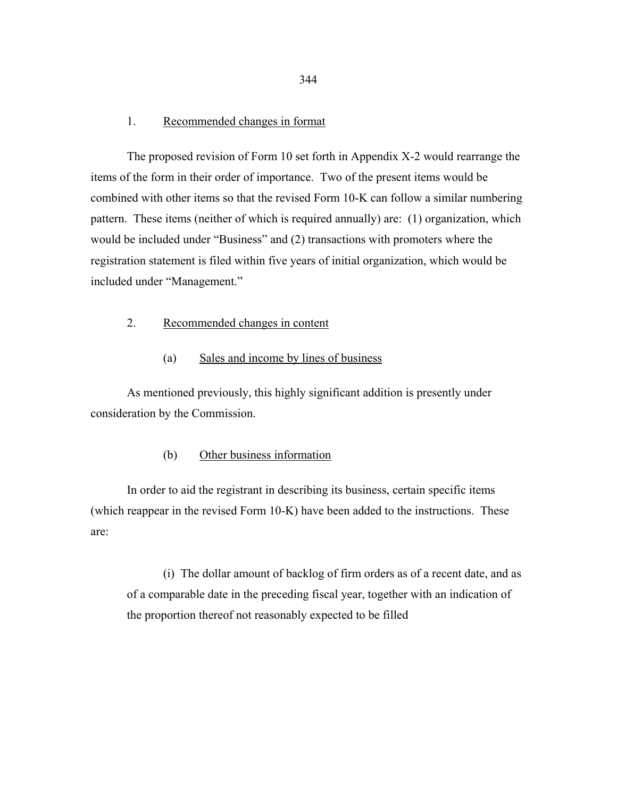#### 1. Recommended changes in format

 The proposed revision of Form 10 set forth in Appendix X-2 would rearrange the items of the form in their order of importance. Two of the present items would be combined with other items so that the revised Form 10-K can follow a similar numbering pattern. These items (neither of which is required annually) are: (1) organization, which would be included under "Business" and (2) transactions with promoters where the registration statement is filed within five years of initial organization, which would be included under "Management."

## 2. Recommended changes in content

#### (a) Sales and income by lines of business

 As mentioned previously, this highly significant addition is presently under consideration by the Commission.

### (b) Other business information

 In order to aid the registrant in describing its business, certain specific items (which reappear in the revised Form 10-K) have been added to the instructions. These are:

 (i) The dollar amount of backlog of firm orders as of a recent date, and as of a comparable date in the preceding fiscal year, together with an indication of the proportion thereof not reasonably expected to be filled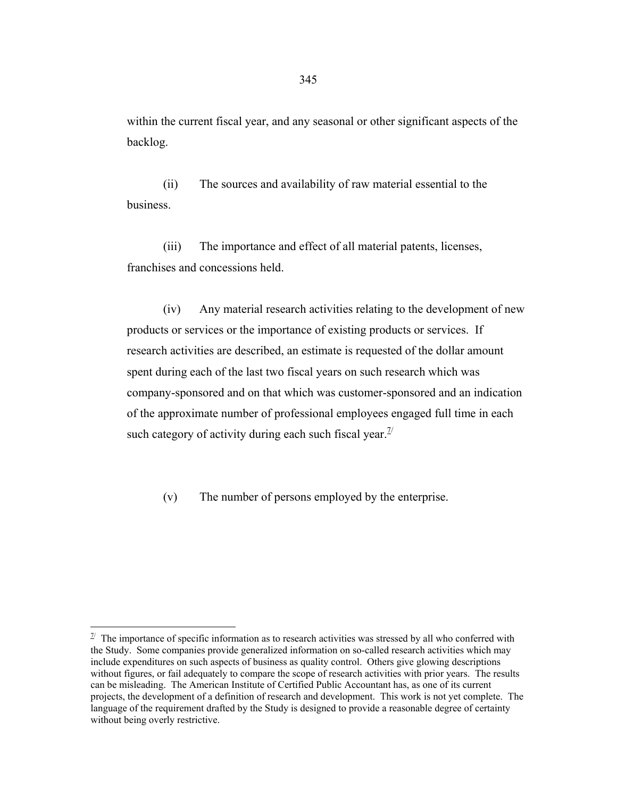within the current fiscal year, and any seasonal or other significant aspects of the backlog.

 (ii) The sources and availability of raw material essential to the business.

 (iii) The importance and effect of all material patents, licenses, franchises and concessions held.

 (iv) Any material research activities relating to the development of new products or services or the importance of existing products or services. If research activities are described, an estimate is requested of the dollar amount spent during each of the last two fiscal years on such research which was company-sponsored and on that which was customer-sponsored and an indication of the approximate number of professional employees engaged full time in each such category of activity during each such fiscal year.  $\frac{7}{2}$ 

(v) The number of persons employed by the enterprise.

 $\overline{a}$ 

<span id="page-21-0"></span> $\mathbb{Z}$  The importance of specific information as to research activities was stressed by all who conferred with the Study. Some companies provide generalized information on so-called research activities which may include expenditures on such aspects of business as quality control. Others give glowing descriptions without figures, or fail adequately to compare the scope of research activities with prior years. The results can be misleading. The American Institute of Certified Public Accountant has, as one of its current projects, the development of a definition of research and development. This work is not yet complete. The language of the requirement drafted by the Study is designed to provide a reasonable degree of certainty without being overly restrictive.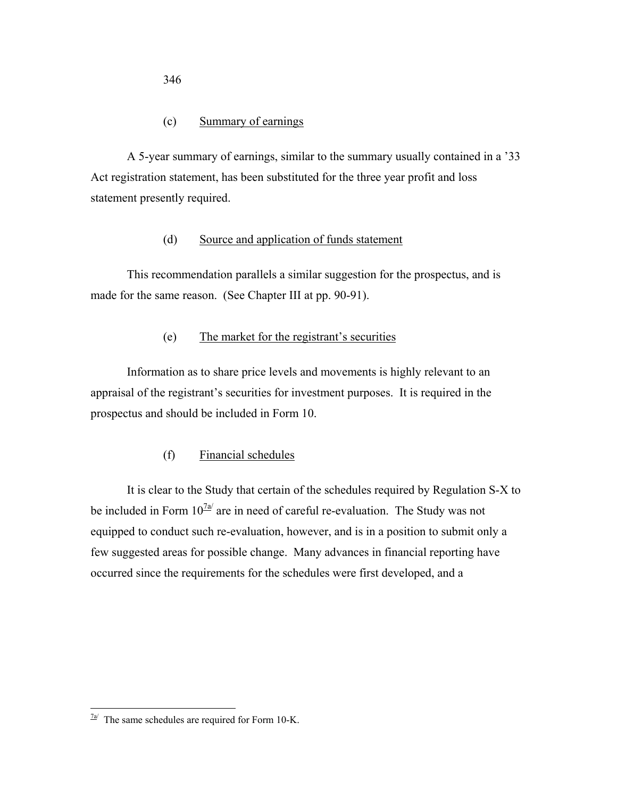## (c) Summary of earnings

 A 5-year summary of earnings, similar to the summary usually contained in a '33 Act registration statement, has been substituted for the three year profit and loss statement presently required.

## (d) Source and application of funds statement

 This recommendation parallels a similar suggestion for the prospectus, and is made for the same reason. (See Chapter III at pp. 90-91).

## (e) The market for the registrant's securities

 Information as to share price levels and movements is highly relevant to an appraisal of the registrant's securities for investment purposes. It is required in the prospectus and should be included in Form 10.

## (f) Financial schedules

 It is clear to the Study that certain of the schedules required by Regulation S-X to be included in Form  $10^{7a/2}$  $10^{7a/2}$  $10^{7a/2}$  are in need of careful re-evaluation. The Study was not equipped to conduct such re-evaluation, however, and is in a position to submit only a few suggested areas for possible change. Many advances in financial reporting have occurred since the requirements for the schedules were first developed, and a

 $\overline{a}$ 

<span id="page-22-0"></span> $\frac{7a}{2}$  The same schedules are required for Form 10-K.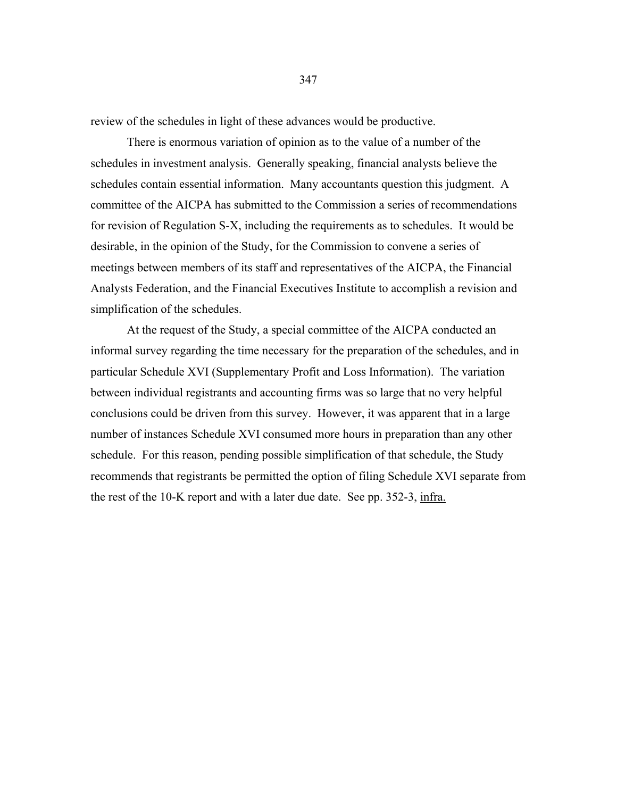review of the schedules in light of these advances would be productive.

 There is enormous variation of opinion as to the value of a number of the schedules in investment analysis. Generally speaking, financial analysts believe the schedules contain essential information. Many accountants question this judgment. A committee of the AICPA has submitted to the Commission a series of recommendations for revision of Regulation S-X, including the requirements as to schedules. It would be desirable, in the opinion of the Study, for the Commission to convene a series of meetings between members of its staff and representatives of the AICPA, the Financial Analysts Federation, and the Financial Executives Institute to accomplish a revision and simplification of the schedules.

 At the request of the Study, a special committee of the AICPA conducted an informal survey regarding the time necessary for the preparation of the schedules, and in particular Schedule XVI (Supplementary Profit and Loss Information). The variation between individual registrants and accounting firms was so large that no very helpful conclusions could be driven from this survey. However, it was apparent that in a large number of instances Schedule XVI consumed more hours in preparation than any other schedule. For this reason, pending possible simplification of that schedule, the Study recommends that registrants be permitted the option of filing Schedule XVI separate from the rest of the 10-K report and with a later due date. See pp. 352-3, infra.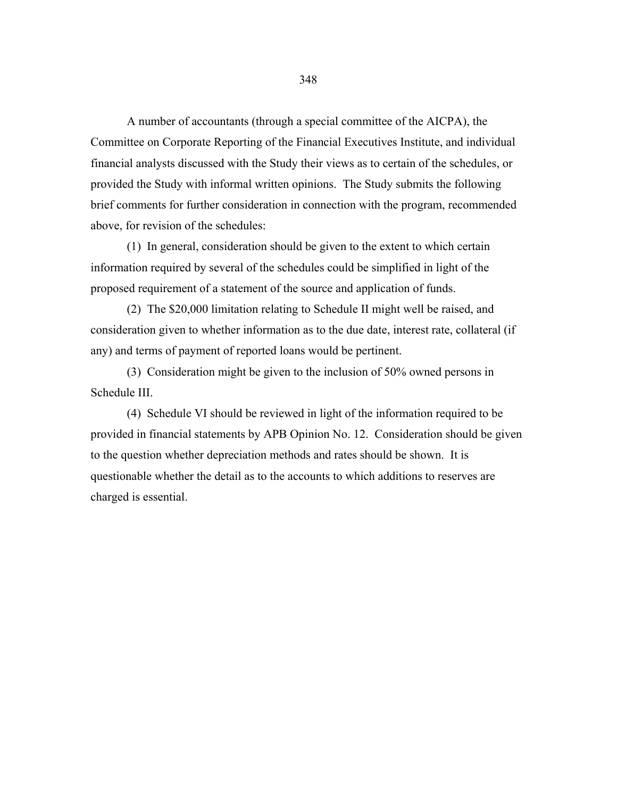A number of accountants (through a special committee of the AICPA), the Committee on Corporate Reporting of the Financial Executives Institute, and individual financial analysts discussed with the Study their views as to certain of the schedules, or provided the Study with informal written opinions. The Study submits the following brief comments for further consideration in connection with the program, recommended above, for revision of the schedules:

 (1) In general, consideration should be given to the extent to which certain information required by several of the schedules could be simplified in light of the proposed requirement of a statement of the source and application of funds.

 (2) The \$20,000 limitation relating to Schedule II might well be raised, and consideration given to whether information as to the due date, interest rate, collateral (if any) and terms of payment of reported loans would be pertinent.

 (3) Consideration might be given to the inclusion of 50% owned persons in Schedule III.

 (4) Schedule VI should be reviewed in light of the information required to be provided in financial statements by APB Opinion No. 12. Consideration should be given to the question whether depreciation methods and rates should be shown. It is questionable whether the detail as to the accounts to which additions to reserves are charged is essential.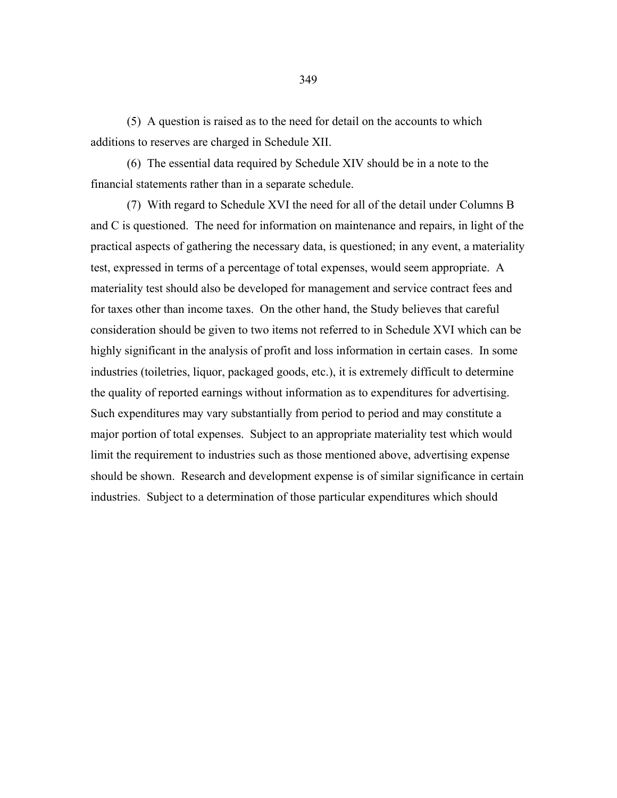(5) A question is raised as to the need for detail on the accounts to which additions to reserves are charged in Schedule XII.

 (6) The essential data required by Schedule XIV should be in a note to the financial statements rather than in a separate schedule.

 (7) With regard to Schedule XVI the need for all of the detail under Columns B and C is questioned. The need for information on maintenance and repairs, in light of the practical aspects of gathering the necessary data, is questioned; in any event, a materiality test, expressed in terms of a percentage of total expenses, would seem appropriate. A materiality test should also be developed for management and service contract fees and for taxes other than income taxes. On the other hand, the Study believes that careful consideration should be given to two items not referred to in Schedule XVI which can be highly significant in the analysis of profit and loss information in certain cases. In some industries (toiletries, liquor, packaged goods, etc.), it is extremely difficult to determine the quality of reported earnings without information as to expenditures for advertising. Such expenditures may vary substantially from period to period and may constitute a major portion of total expenses. Subject to an appropriate materiality test which would limit the requirement to industries such as those mentioned above, advertising expense should be shown. Research and development expense is of similar significance in certain industries. Subject to a determination of those particular expenditures which should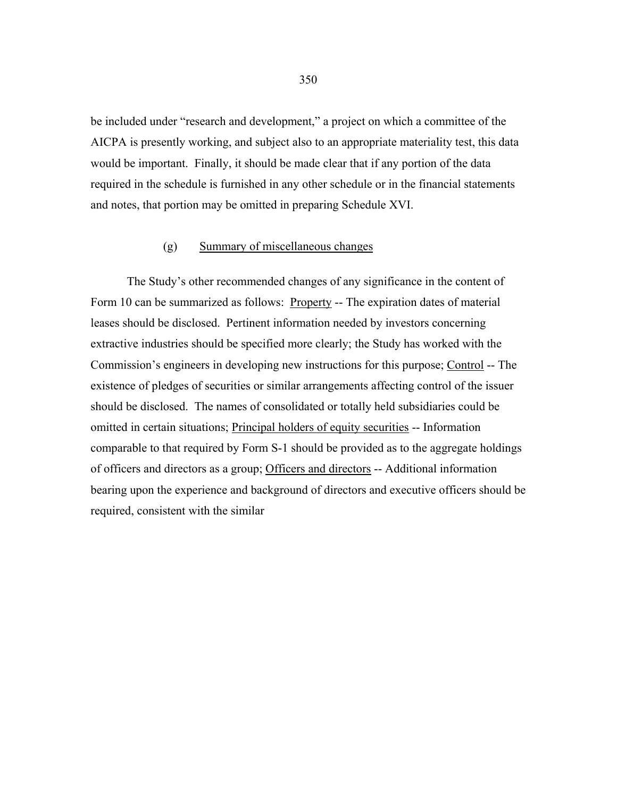be included under "research and development," a project on which a committee of the AICPA is presently working, and subject also to an appropriate materiality test, this data would be important. Finally, it should be made clear that if any portion of the data required in the schedule is furnished in any other schedule or in the financial statements and notes, that portion may be omitted in preparing Schedule XVI.

#### (g) Summary of miscellaneous changes

 The Study's other recommended changes of any significance in the content of Form 10 can be summarized as follows: Property -- The expiration dates of material leases should be disclosed. Pertinent information needed by investors concerning extractive industries should be specified more clearly; the Study has worked with the Commission's engineers in developing new instructions for this purpose; Control -- The existence of pledges of securities or similar arrangements affecting control of the issuer should be disclosed. The names of consolidated or totally held subsidiaries could be omitted in certain situations; Principal holders of equity securities -- Information comparable to that required by Form S-1 should be provided as to the aggregate holdings of officers and directors as a group; Officers and directors -- Additional information bearing upon the experience and background of directors and executive officers should be required, consistent with the similar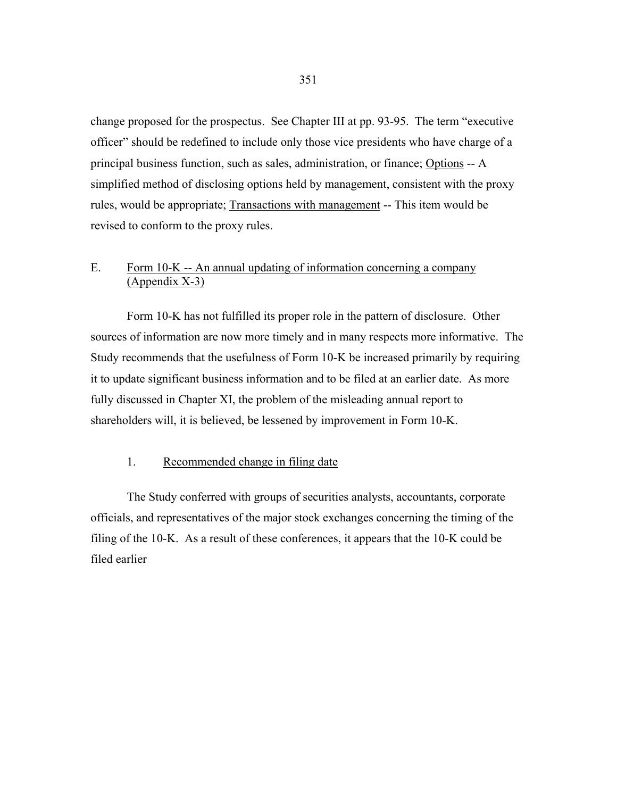change proposed for the prospectus. See Chapter III at pp. 93-95. The term "executive officer" should be redefined to include only those vice presidents who have charge of a principal business function, such as sales, administration, or finance; Options -- A simplified method of disclosing options held by management, consistent with the proxy rules, would be appropriate; Transactions with management -- This item would be revised to conform to the proxy rules.

# E. Form 10-K -- An annual updating of information concerning a company (Appendix X-3)

 Form 10-K has not fulfilled its proper role in the pattern of disclosure. Other sources of information are now more timely and in many respects more informative. The Study recommends that the usefulness of Form 10-K be increased primarily by requiring it to update significant business information and to be filed at an earlier date. As more fully discussed in Chapter XI, the problem of the misleading annual report to shareholders will, it is believed, be lessened by improvement in Form 10-K.

#### 1. Recommended change in filing date

 The Study conferred with groups of securities analysts, accountants, corporate officials, and representatives of the major stock exchanges concerning the timing of the filing of the 10-K. As a result of these conferences, it appears that the 10-K could be filed earlier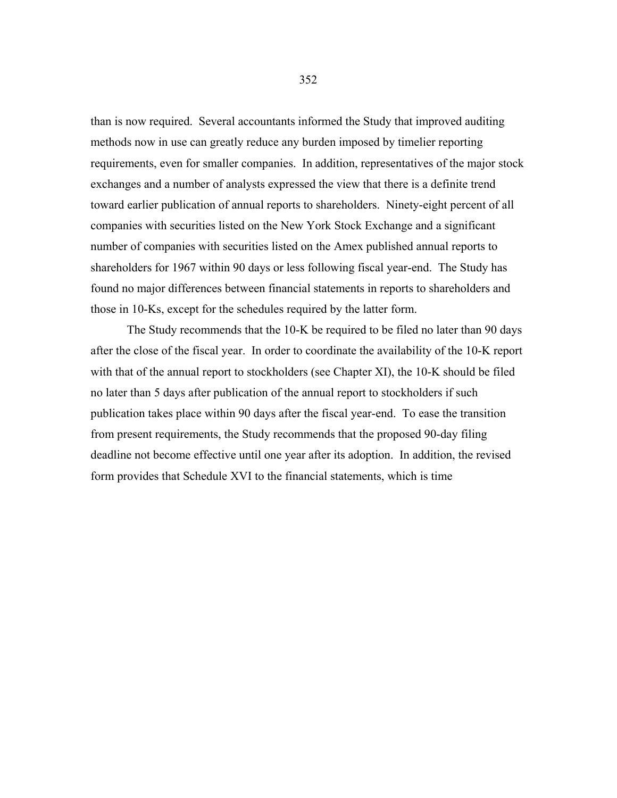than is now required. Several accountants informed the Study that improved auditing methods now in use can greatly reduce any burden imposed by timelier reporting requirements, even for smaller companies. In addition, representatives of the major stock exchanges and a number of analysts expressed the view that there is a definite trend toward earlier publication of annual reports to shareholders. Ninety-eight percent of all companies with securities listed on the New York Stock Exchange and a significant number of companies with securities listed on the Amex published annual reports to shareholders for 1967 within 90 days or less following fiscal year-end. The Study has found no major differences between financial statements in reports to shareholders and those in 10-Ks, except for the schedules required by the latter form.

 The Study recommends that the 10-K be required to be filed no later than 90 days after the close of the fiscal year. In order to coordinate the availability of the 10-K report with that of the annual report to stockholders (see Chapter XI), the 10-K should be filed no later than 5 days after publication of the annual report to stockholders if such publication takes place within 90 days after the fiscal year-end. To ease the transition from present requirements, the Study recommends that the proposed 90-day filing deadline not become effective until one year after its adoption. In addition, the revised form provides that Schedule XVI to the financial statements, which is time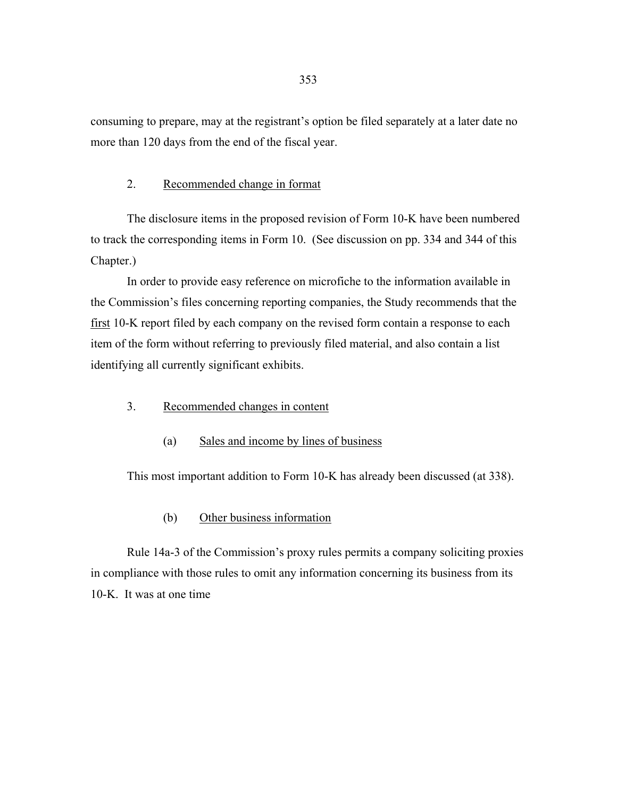consuming to prepare, may at the registrant's option be filed separately at a later date no more than 120 days from the end of the fiscal year.

### 2. Recommended change in format

 The disclosure items in the proposed revision of Form 10-K have been numbered to track the corresponding items in Form 10. (See discussion on pp. 334 and 344 of this Chapter.)

 In order to provide easy reference on microfiche to the information available in the Commission's files concerning reporting companies, the Study recommends that the first 10-K report filed by each company on the revised form contain a response to each item of the form without referring to previously filed material, and also contain a list identifying all currently significant exhibits.

- 3. Recommended changes in content
	- (a) Sales and income by lines of business

This most important addition to Form 10-K has already been discussed (at 338).

(b) Other business information

 Rule 14a-3 of the Commission's proxy rules permits a company soliciting proxies in compliance with those rules to omit any information concerning its business from its 10-K. It was at one time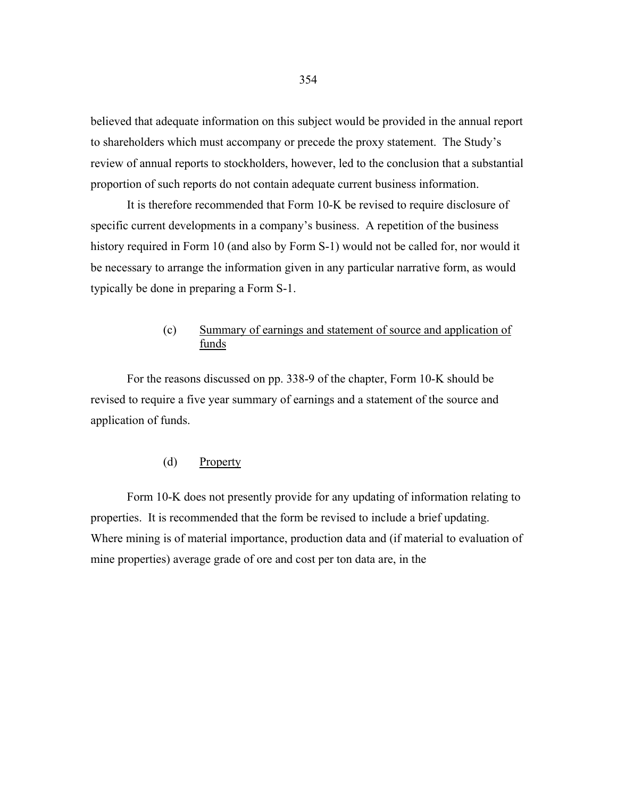believed that adequate information on this subject would be provided in the annual report to shareholders which must accompany or precede the proxy statement. The Study's review of annual reports to stockholders, however, led to the conclusion that a substantial proportion of such reports do not contain adequate current business information.

 It is therefore recommended that Form 10-K be revised to require disclosure of specific current developments in a company's business. A repetition of the business history required in Form 10 (and also by Form S-1) would not be called for, nor would it be necessary to arrange the information given in any particular narrative form, as would typically be done in preparing a Form S-1.

# (c) Summary of earnings and statement of source and application of funds

 For the reasons discussed on pp. 338-9 of the chapter, Form 10-K should be revised to require a five year summary of earnings and a statement of the source and application of funds.

#### (d) Property

 Form 10-K does not presently provide for any updating of information relating to properties. It is recommended that the form be revised to include a brief updating. Where mining is of material importance, production data and (if material to evaluation of mine properties) average grade of ore and cost per ton data are, in the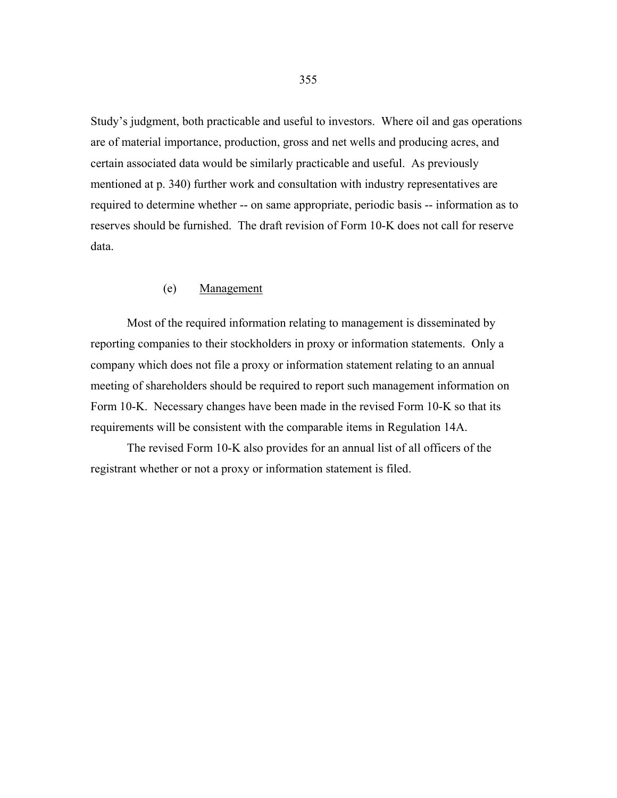Study's judgment, both practicable and useful to investors. Where oil and gas operations are of material importance, production, gross and net wells and producing acres, and certain associated data would be similarly practicable and useful. As previously mentioned at p. 340) further work and consultation with industry representatives are required to determine whether -- on same appropriate, periodic basis -- information as to reserves should be furnished. The draft revision of Form 10-K does not call for reserve data.

#### (e) Management

 Most of the required information relating to management is disseminated by reporting companies to their stockholders in proxy or information statements. Only a company which does not file a proxy or information statement relating to an annual meeting of shareholders should be required to report such management information on Form 10-K. Necessary changes have been made in the revised Form 10-K so that its requirements will be consistent with the comparable items in Regulation 14A.

 The revised Form 10-K also provides for an annual list of all officers of the registrant whether or not a proxy or information statement is filed.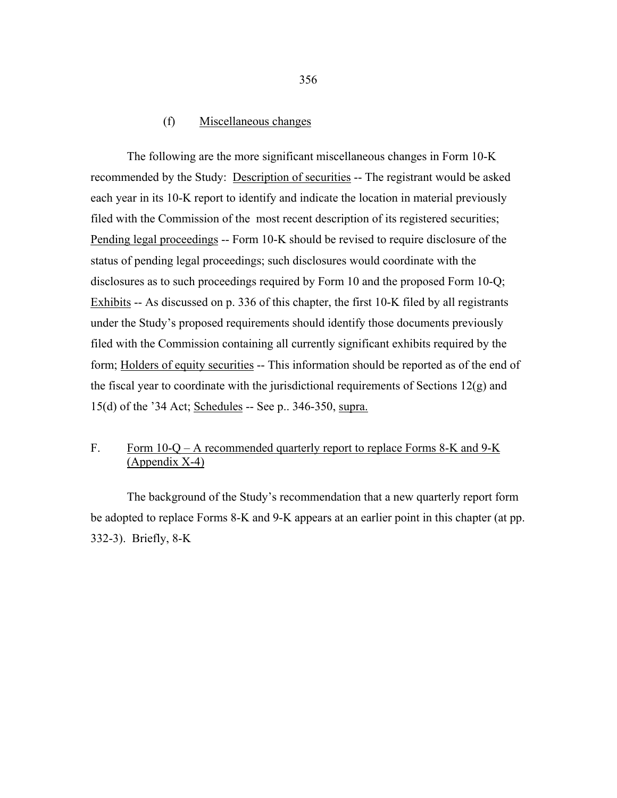### (f) Miscellaneous changes

 The following are the more significant miscellaneous changes in Form 10-K recommended by the Study: Description of securities -- The registrant would be asked each year in its 10-K report to identify and indicate the location in material previously filed with the Commission of the most recent description of its registered securities; Pending legal proceedings -- Form 10-K should be revised to require disclosure of the status of pending legal proceedings; such disclosures would coordinate with the disclosures as to such proceedings required by Form 10 and the proposed Form 10-Q; Exhibits -- As discussed on p. 336 of this chapter, the first 10-K filed by all registrants under the Study's proposed requirements should identify those documents previously filed with the Commission containing all currently significant exhibits required by the form; Holders of equity securities -- This information should be reported as of the end of the fiscal year to coordinate with the jurisdictional requirements of Sections  $12(g)$  and 15(d) of the '34 Act; Schedules -- See p.. 346-350, supra.

# F. Form 10-Q – A recommended quarterly report to replace Forms 8-K and 9-K (Appendix X-4)

 The background of the Study's recommendation that a new quarterly report form be adopted to replace Forms 8-K and 9-K appears at an earlier point in this chapter (at pp. 332-3). Briefly, 8-K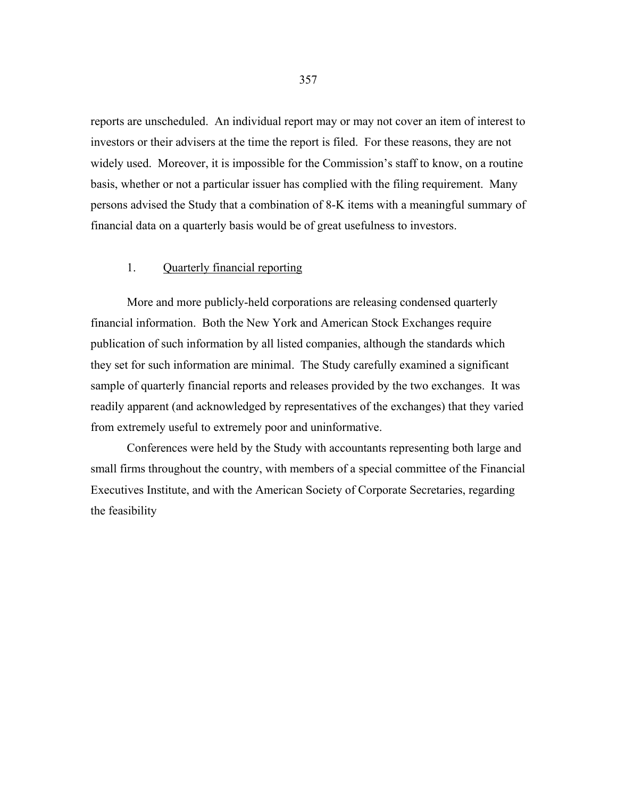reports are unscheduled. An individual report may or may not cover an item of interest to investors or their advisers at the time the report is filed. For these reasons, they are not widely used. Moreover, it is impossible for the Commission's staff to know, on a routine basis, whether or not a particular issuer has complied with the filing requirement. Many persons advised the Study that a combination of 8-K items with a meaningful summary of financial data on a quarterly basis would be of great usefulness to investors.

## 1. Quarterly financial reporting

 More and more publicly-held corporations are releasing condensed quarterly financial information. Both the New York and American Stock Exchanges require publication of such information by all listed companies, although the standards which they set for such information are minimal. The Study carefully examined a significant sample of quarterly financial reports and releases provided by the two exchanges. It was readily apparent (and acknowledged by representatives of the exchanges) that they varied from extremely useful to extremely poor and uninformative.

 Conferences were held by the Study with accountants representing both large and small firms throughout the country, with members of a special committee of the Financial Executives Institute, and with the American Society of Corporate Secretaries, regarding the feasibility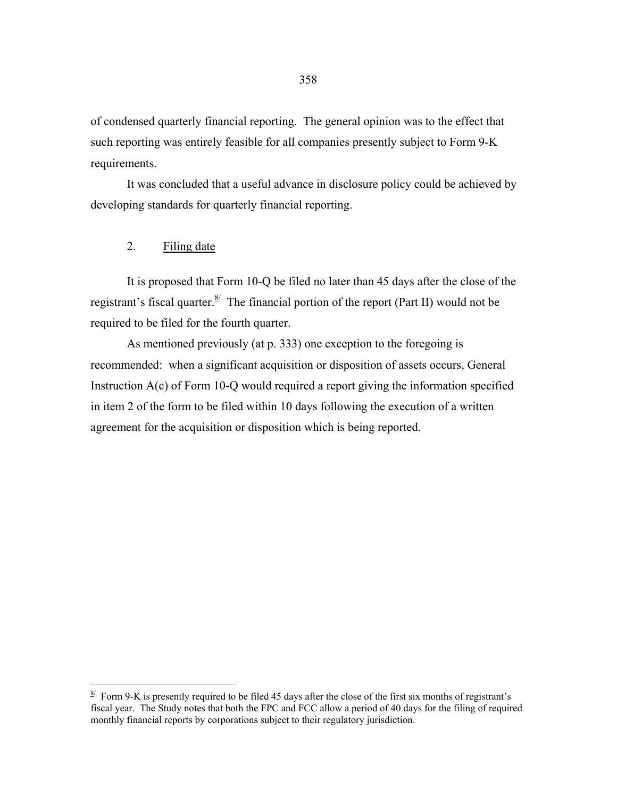of condensed quarterly financial reporting. The general opinion was to the effect that such reporting was entirely feasible for all companies presently subject to Form 9-K requirements.

 It was concluded that a useful advance in disclosure policy could be achieved by developing standards for quarterly financial reporting.

2. Filing date

 $\overline{a}$ 

 It is proposed that Form 10-Q be filed no later than 45 days after the close of the registrant's fiscal quarter.  $\frac{8}{3}$  The financial portion of the report (Part II) would not be required to be filed for the fourth quarter.

 As mentioned previously (at p. 333) one exception to the foregoing is recommended: when a significant acquisition or disposition of assets occurs, General Instruction A(c) of Form 10-Q would required a report giving the information specified in item 2 of the form to be filed within 10 days following the execution of a written agreement for the acquisition or disposition which is being reported.

<span id="page-34-0"></span> $\frac{8}{1}$  Form 9-K is presently required to be filed 45 days after the close of the first six months of registrant's fiscal year. The Study notes that both the FPC and FCC allow a period of 40 days for the filing of required monthly financial reports by corporations subject to their regulatory jurisdiction.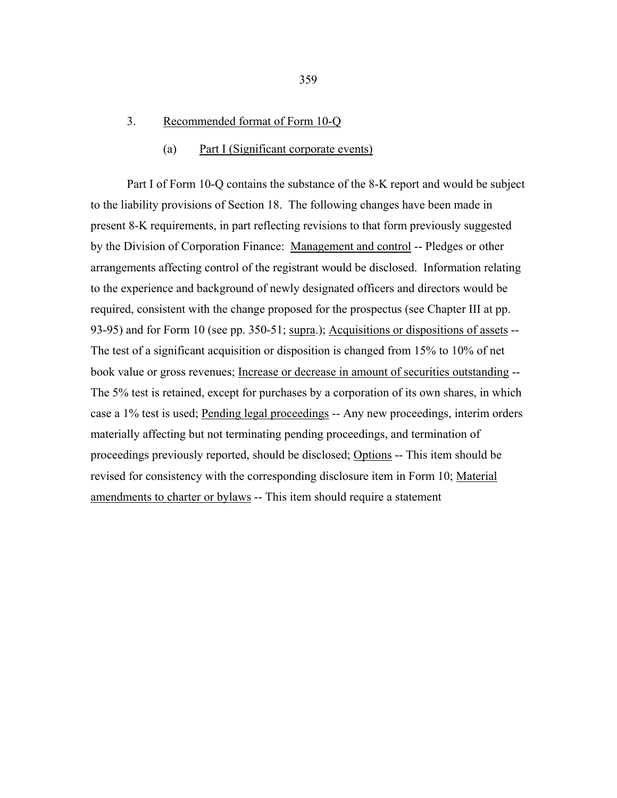#### 3. Recommended format of Form 10-Q

#### (a) Part I (Significant corporate events)

 Part I of Form 10-Q contains the substance of the 8-K report and would be subject to the liability provisions of Section 18. The following changes have been made in present 8-K requirements, in part reflecting revisions to that form previously suggested by the Division of Corporation Finance: Management and control -- Pledges or other arrangements affecting control of the registrant would be disclosed. Information relating to the experience and background of newly designated officers and directors would be required, consistent with the change proposed for the prospectus (see Chapter III at pp. 93-95) and for Form 10 (see pp. 350-51; supra.); Acquisitions or dispositions of assets --The test of a significant acquisition or disposition is changed from 15% to 10% of net book value or gross revenues; Increase or decrease in amount of securities outstanding -- The 5% test is retained, except for purchases by a corporation of its own shares, in which case a 1% test is used; Pending legal proceedings -- Any new proceedings, interim orders materially affecting but not terminating pending proceedings, and termination of proceedings previously reported, should be disclosed; Options -- This item should be revised for consistency with the corresponding disclosure item in Form 10; Material amendments to charter or bylaws -- This item should require a statement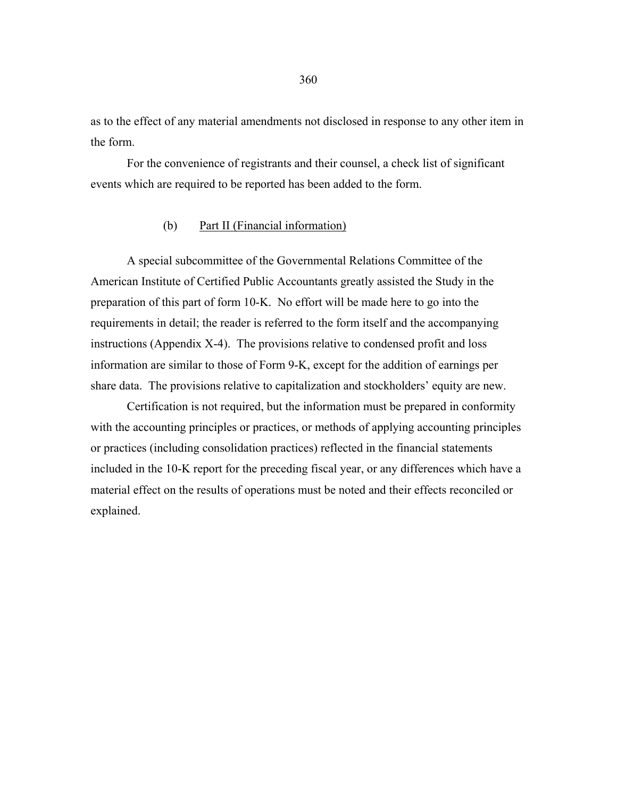as to the effect of any material amendments not disclosed in response to any other item in the form.

 For the convenience of registrants and their counsel, a check list of significant events which are required to be reported has been added to the form.

#### (b) Part II (Financial information)

 A special subcommittee of the Governmental Relations Committee of the American Institute of Certified Public Accountants greatly assisted the Study in the preparation of this part of form 10-K. No effort will be made here to go into the requirements in detail; the reader is referred to the form itself and the accompanying instructions (Appendix X-4). The provisions relative to condensed profit and loss information are similar to those of Form 9-K, except for the addition of earnings per share data. The provisions relative to capitalization and stockholders' equity are new.

 Certification is not required, but the information must be prepared in conformity with the accounting principles or practices, or methods of applying accounting principles or practices (including consolidation practices) reflected in the financial statements included in the 10-K report for the preceding fiscal year, or any differences which have a material effect on the results of operations must be noted and their effects reconciled or explained.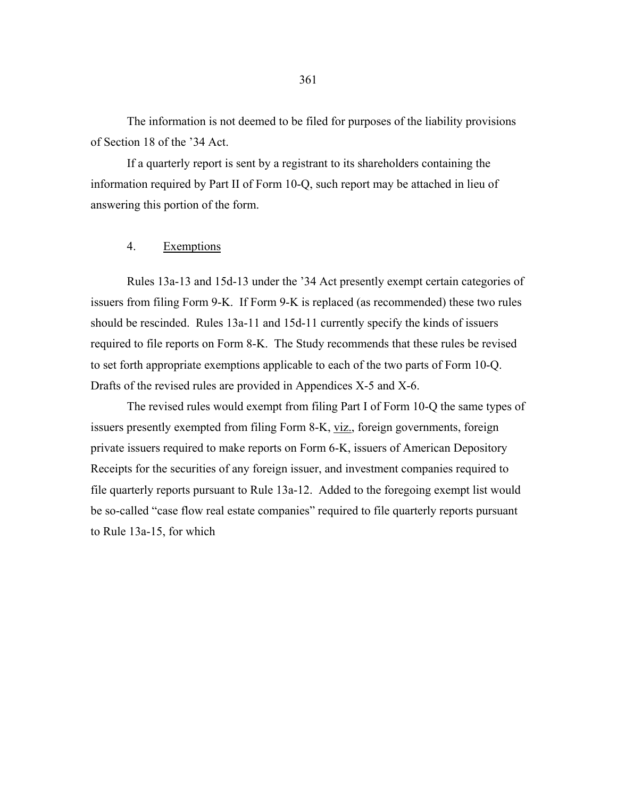The information is not deemed to be filed for purposes of the liability provisions of Section 18 of the '34 Act.

 If a quarterly report is sent by a registrant to its shareholders containing the information required by Part II of Form 10-Q, such report may be attached in lieu of answering this portion of the form.

#### 4. Exemptions

 Rules 13a-13 and 15d-13 under the '34 Act presently exempt certain categories of issuers from filing Form 9-K. If Form 9-K is replaced (as recommended) these two rules should be rescinded. Rules 13a-11 and 15d-11 currently specify the kinds of issuers required to file reports on Form 8-K. The Study recommends that these rules be revised to set forth appropriate exemptions applicable to each of the two parts of Form 10-Q. Drafts of the revised rules are provided in Appendices X-5 and X-6.

 The revised rules would exempt from filing Part I of Form 10-Q the same types of issuers presently exempted from filing Form 8-K, viz., foreign governments, foreign private issuers required to make reports on Form 6-K, issuers of American Depository Receipts for the securities of any foreign issuer, and investment companies required to file quarterly reports pursuant to Rule 13a-12. Added to the foregoing exempt list would be so-called "case flow real estate companies" required to file quarterly reports pursuant to Rule 13a-15, for which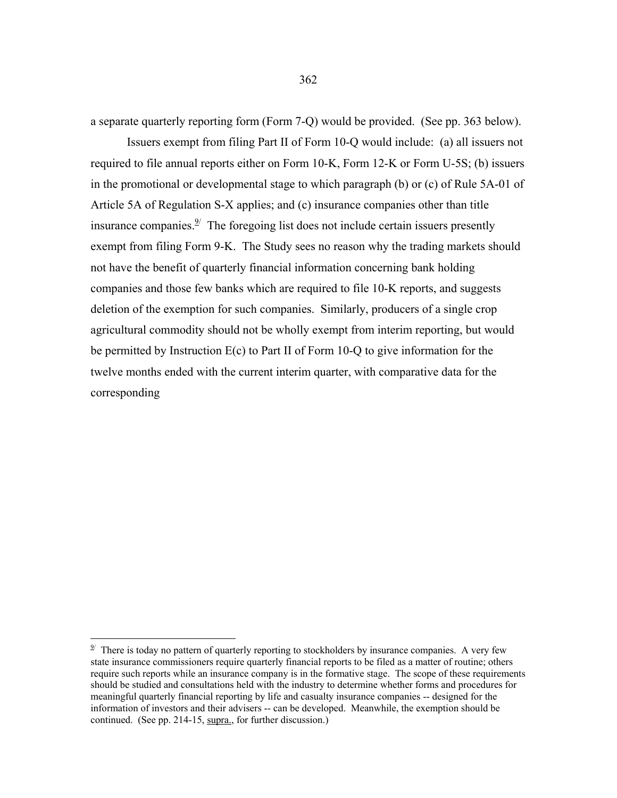a separate quarterly reporting form (Form 7-Q) would be provided. (See pp. 363 below).

 Issuers exempt from filing Part II of Form 10-Q would include: (a) all issuers not required to file annual reports either on Form 10-K, Form 12-K or Form U-5S; (b) issuers in the promotional or developmental stage to which paragraph (b) or (c) of Rule 5A-01 of Article 5A of Regulation S-X applies; and (c) insurance companies other than title insurance companies. $\frac{9}{2}$  The foregoing list does not include certain issuers presently exempt from filing Form 9-K. The Study sees no reason why the trading markets should not have the benefit of quarterly financial information concerning bank holding companies and those few banks which are required to file 10-K reports, and suggests deletion of the exemption for such companies. Similarly, producers of a single crop agricultural commodity should not be wholly exempt from interim reporting, but would be permitted by Instruction E(c) to Part II of Form 10-Q to give information for the twelve months ended with the current interim quarter, with comparative data for the corresponding

 $\overline{a}$ 

<span id="page-38-0"></span> $9<sup>9</sup>$  There is today no pattern of quarterly reporting to stockholders by insurance companies. A very few state insurance commissioners require quarterly financial reports to be filed as a matter of routine; others require such reports while an insurance company is in the formative stage. The scope of these requirements should be studied and consultations held with the industry to determine whether forms and procedures for meaningful quarterly financial reporting by life and casualty insurance companies -- designed for the information of investors and their advisers -- can be developed. Meanwhile, the exemption should be continued. (See pp. 214-15, supra., for further discussion.)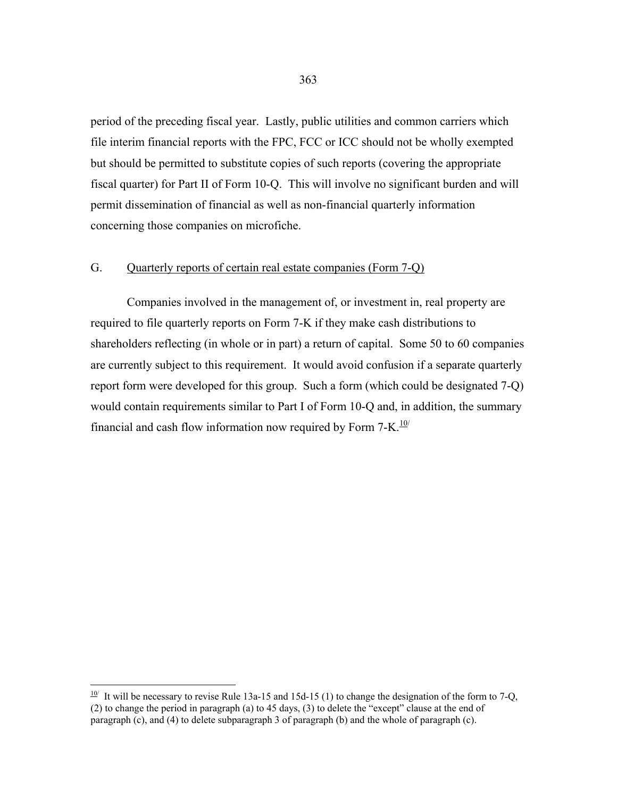period of the preceding fiscal year. Lastly, public utilities and common carriers which file interim financial reports with the FPC, FCC or ICC should not be wholly exempted but should be permitted to substitute copies of such reports (covering the appropriate fiscal quarter) for Part II of Form 10-Q. This will involve no significant burden and will permit dissemination of financial as well as non-financial quarterly information concerning those companies on microfiche.

## G. Quarterly reports of certain real estate companies (Form 7-Q)

 Companies involved in the management of, or investment in, real property are required to file quarterly reports on Form 7-K if they make cash distributions to shareholders reflecting (in whole or in part) a return of capital. Some 50 to 60 companies are currently subject to this requirement. It would avoid confusion if a separate quarterly report form were developed for this group. Such a form (which could be designated 7-Q) would contain requirements similar to Part I of Form 10-Q and, in addition, the summary financial and cash flow information now required by Form  $7 - K$ .<sup>[10/](#page-39-0)</sup>

 $\overline{a}$ 

<span id="page-39-0"></span> $\frac{10}{10}$  It will be necessary to revise Rule 13a-15 and 15d-15 (1) to change the designation of the form to 7-Q, (2) to change the period in paragraph (a) to 45 days, (3) to delete the "except" clause at the end of paragraph (c), and (4) to delete subparagraph 3 of paragraph (b) and the whole of paragraph (c).